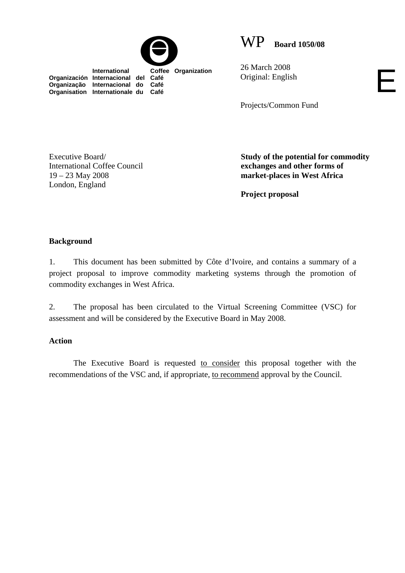

 **International Coffee Organization** 



26 March 2008 Original: English

Projects/Common Fund

Executive Board/ International Coffee Council 19 – 23 May 2008 London, England

**Organización Internacional del Café Organização Internacional do Café Organisation Internationale du Café**

> **Study of the potential for commodity exchanges and other forms of market-places in West Africa**

E

**Project proposal** 

## **Background**

1. This document has been submitted by Côte d'Ivoire, and contains a summary of a project proposal to improve commodity marketing systems through the promotion of commodity exchanges in West Africa.

2. The proposal has been circulated to the Virtual Screening Committee (VSC) for assessment and will be considered by the Executive Board in May 2008.

## **Action**

The Executive Board is requested to consider this proposal together with the recommendations of the VSC and, if appropriate, to recommend approval by the Council.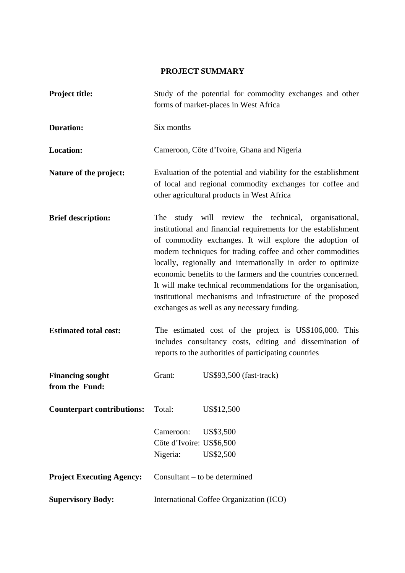# **PROJECT SUMMARY**

| <b>Project title:</b>                     | Study of the potential for commodity exchanges and other<br>forms of market-places in West Africa                                                                                                                                                                                                                                                                                                                                                                                                                                                                 |  |  |
|-------------------------------------------|-------------------------------------------------------------------------------------------------------------------------------------------------------------------------------------------------------------------------------------------------------------------------------------------------------------------------------------------------------------------------------------------------------------------------------------------------------------------------------------------------------------------------------------------------------------------|--|--|
| <b>Duration:</b>                          | Six months                                                                                                                                                                                                                                                                                                                                                                                                                                                                                                                                                        |  |  |
| <b>Location:</b>                          | Cameroon, Côte d'Ivoire, Ghana and Nigeria                                                                                                                                                                                                                                                                                                                                                                                                                                                                                                                        |  |  |
| Nature of the project:                    | Evaluation of the potential and viability for the establishment<br>of local and regional commodity exchanges for coffee and<br>other agricultural products in West Africa                                                                                                                                                                                                                                                                                                                                                                                         |  |  |
| <b>Brief description:</b>                 | study will review the technical, organisational,<br>The<br>institutional and financial requirements for the establishment<br>of commodity exchanges. It will explore the adoption of<br>modern techniques for trading coffee and other commodities<br>locally, regionally and internationally in order to optimize<br>economic benefits to the farmers and the countries concerned.<br>It will make technical recommendations for the organisation,<br>institutional mechanisms and infrastructure of the proposed<br>exchanges as well as any necessary funding. |  |  |
| <b>Estimated total cost:</b>              | The estimated cost of the project is US\$106,000. This<br>includes consultancy costs, editing and dissemination of<br>reports to the authorities of participating countries                                                                                                                                                                                                                                                                                                                                                                                       |  |  |
| <b>Financing sought</b><br>from the Fund: | Grant:<br>US\$93,500 (fast-track)                                                                                                                                                                                                                                                                                                                                                                                                                                                                                                                                 |  |  |
| <b>Counterpart contributions:</b>         | Total:<br>US\$12,500                                                                                                                                                                                                                                                                                                                                                                                                                                                                                                                                              |  |  |
|                                           | Cameroon:<br>US\$3,500<br>Côte d'Ivoire: US\$6,500<br>US\$2,500<br>Nigeria:                                                                                                                                                                                                                                                                                                                                                                                                                                                                                       |  |  |
| <b>Project Executing Agency:</b>          | Consultant – to be determined                                                                                                                                                                                                                                                                                                                                                                                                                                                                                                                                     |  |  |
| <b>Supervisory Body:</b>                  | International Coffee Organization (ICO)                                                                                                                                                                                                                                                                                                                                                                                                                                                                                                                           |  |  |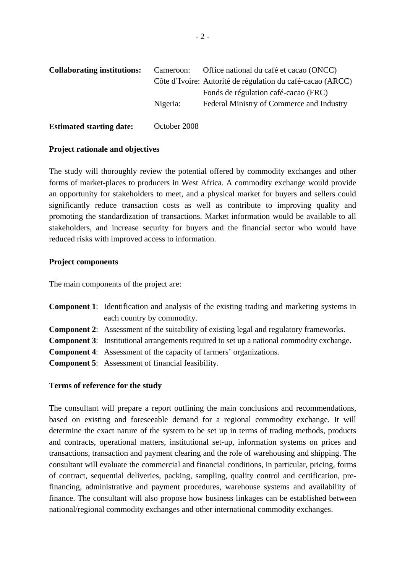| <b>Collaborating institutions:</b> | Cameroon:    | Office national du café et cacao (ONCC)                    |
|------------------------------------|--------------|------------------------------------------------------------|
|                                    |              | Côte d'Ivoire: Autorité de régulation du café-cacao (ARCC) |
|                                    |              | Fonds de régulation café-cacao (FRC)                       |
|                                    | Nigeria:     | Federal Ministry of Commerce and Industry                  |
|                                    |              |                                                            |
| <b>Estimated starting date:</b>    | October 2008 |                                                            |

#### **Project rationale and objectives**

The study will thoroughly review the potential offered by commodity exchanges and other forms of market-places to producers in West Africa. A commodity exchange would provide an opportunity for stakeholders to meet, and a physical market for buyers and sellers could significantly reduce transaction costs as well as contribute to improving quality and promoting the standardization of transactions. Market information would be available to all stakeholders, and increase security for buyers and the financial sector who would have reduced risks with improved access to information.

#### **Project components**

The main components of the project are:

| <b>Component 1:</b> Identification and analysis of the existing trading and marketing systems in |
|--------------------------------------------------------------------------------------------------|
| each country by commodity.                                                                       |
| <b>Component 2:</b> Assessment of the suitability of existing legal and regulatory frameworks.   |
| <b>Component 3:</b> Institutional arrangements required to set up a national commodity exchange. |
| <b>Component 4:</b> Assessment of the capacity of farmers' organizations.                        |
| <b>Component 5:</b> Assessment of financial feasibility.                                         |
|                                                                                                  |

## **Terms of reference for the study**

The consultant will prepare a report outlining the main conclusions and recommendations, based on existing and foreseeable demand for a regional commodity exchange. It will determine the exact nature of the system to be set up in terms of trading methods, products and contracts, operational matters, institutional set-up, information systems on prices and transactions, transaction and payment clearing and the role of warehousing and shipping. The consultant will evaluate the commercial and financial conditions, in particular, pricing, forms of contract, sequential deliveries, packing, sampling, quality control and certification, prefinancing, administrative and payment procedures, warehouse systems and availability of finance. The consultant will also propose how business linkages can be established between national/regional commodity exchanges and other international commodity exchanges.

 $-2-$